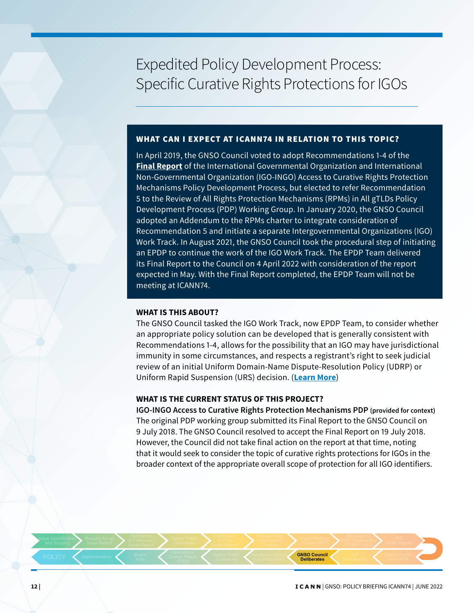# Expedited Policy Development Process: Specific Curative Rights Protections for IGOs

### WHAT CAN I EXPECT AT ICANN74 IN RELATION TO THIS TOPIC?

In April 2019, the GNSO Council voted to adopt Recommendations 1-4 of the **[Final Report](https://gnso.icann.org/sites/default/files/file/field-file-attach/igo-ingo-crp-access-final-17jul18-en_0.pdf)** of the International Governmental Organization and International Non-Governmental Organization (IGO-INGO) Access to Curative Rights Protection Mechanisms Policy Development Process, but elected to refer Recommendation 5 to the Review of All Rights Protection Mechanisms (RPMs) in All gTLDs Policy Development Process (PDP) Working Group. In January 2020, the GNSO Council adopted an Addendum to the RPMs charter to integrate consideration of Recommendation 5 and initiate a separate Intergovernmental Organizations (IGO) Work Track. In August 2021, the GNSO Council took the procedural step of initiating an EPDP to continue the work of the IGO Work Track. The EPDP Team delivered its Final Report to the Council on 4 April 2022 with consideration of the report expected in May. With the Final Report completed, the EPDP Team will not be meeting at ICANN74.

#### **WHAT IS THIS ABOUT?**

The GNSO Council tasked the IGO Work Track, now EPDP Team, to consider whether an appropriate policy solution can be developed that is generally consistent with Recommendations 1-4, allows for the possibility that an IGO may have jurisdictional immunity in some circumstances, and respects a registrant's right to seek judicial review of an initial Uniform Domain-Name Dispute-Resolution Policy (UDRP) or Uniform Rapid Suspension (URS) decision. (**[Learn More](https://gnso.icann.org/en/group-activities/active/igo-ingo-crp-access)**)

#### **WHAT IS THE CURRENT STATUS OF THIS PROJECT?**

**IGO-INGO Access to Curative Rights Protection Mechanisms PDP (provided for context)** The original PDP working group submitted its Final Report to the GNSO Council on 9 July 2018. The GNSO Council resolved to accept the Final Report on 19 July 2018. However, the Council did not take final action on the report at that time, noting that it would seek to consider the topic of curative rights protections for IGOs in the broader context of the appropriate overall scope of protection for all IGO identifiers.

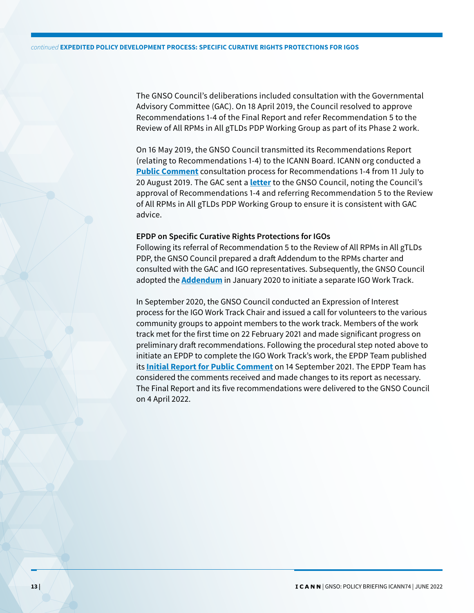The GNSO Council's deliberations included consultation with the Governmental Advisory Committee (GAC). On 18 April 2019, the Council resolved to approve Recommendations 1-4 of the Final Report and refer Recommendation 5 to the Review of All RPMs in All gTLDs PDP Working Group as part of its Phase 2 work.

On 16 May 2019, the GNSO Council transmitted its Recommendations Report (relating to Recommendations 1-4) to the ICANN Board. ICANN org conducted a **[Public Comment](https://www.icann.org/en/public-comment/proceeding/gnso-policy-development-process-on-igo-ingo-access-to-curative-rights-protection-mechanisms-policy-recommendations-for-icann-board-consideration-11-07-2019)** consultation process for Recommendations 1-4 from 11 July to 20 August 2019. The GAC sent a **[letter](https://gnso.icann.org/sites/default/files/file/field-file-attach/ismail-to-drazek-17apr19-en.pdf)** to the GNSO Council, noting the Council's approval of Recommendations 1-4 and referring Recommendation 5 to the Review of All RPMs in All gTLDs PDP Working Group to ensure it is consistent with GAC advice.

## **EPDP on Specific Curative Rights Protections for IGOs**

Following its referral of Recommendation 5 to the Review of All RPMs in All gTLDs PDP, the GNSO Council prepared a draft Addendum to the RPMs charter and consulted with the GAC and IGO representatives. Subsequently, the GNSO Council adopted the **[Addendum](https://gnso.icann.org/sites/default/files/file/field-file-attach/rpms-charter-addendum-09jan20-en.pdf)** in January 2020 to initiate a separate IGO Work Track.

In September 2020, the GNSO Council conducted an Expression of Interest process for the IGO Work Track Chair and issued a call for volunteers to the various community groups to appoint members to the work track. Members of the work track met for the first time on 22 February 2021 and made significant progress on preliminary draft recommendations. Following the procedural step noted above to initiate an EPDP to complete the IGO Work Track's work, the EPDP Team published its **[Initial Report for Public Comment](https://www.icann.org/en/public-comment/proceeding/initial-report-epdp-specific-curative-rights-protections-igos-14-09-2021)** on 14 September 2021. The EPDP Team has considered the comments received and made changes to its report as necessary. The Final Report and its five recommendations were delivered to the GNSO Council on 4 April 2022.